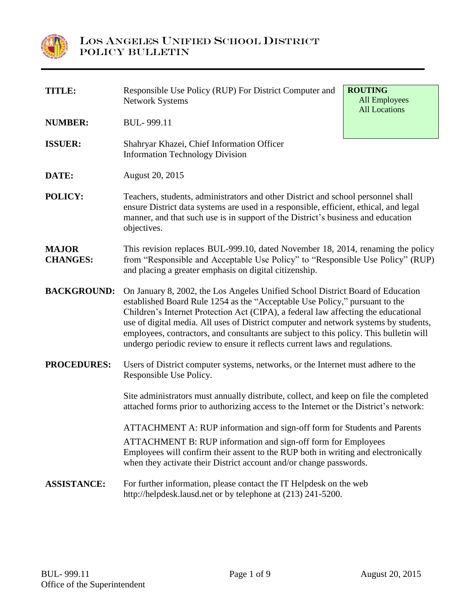

| TITLE:                          | Responsible Use Policy (RUP) For District Computer and<br><b>Network Systems</b>                                                                                                                                                                                                                                                                                                                                                                                                                                     | <b>ROUTING</b><br><b>All Employees</b><br><b>All Locations</b> |  |
|---------------------------------|----------------------------------------------------------------------------------------------------------------------------------------------------------------------------------------------------------------------------------------------------------------------------------------------------------------------------------------------------------------------------------------------------------------------------------------------------------------------------------------------------------------------|----------------------------------------------------------------|--|
| <b>NUMBER:</b>                  | BUL-999.11                                                                                                                                                                                                                                                                                                                                                                                                                                                                                                           |                                                                |  |
| <b>ISSUER:</b>                  | Shahryar Khazei, Chief Information Officer<br><b>Information Technology Division</b>                                                                                                                                                                                                                                                                                                                                                                                                                                 |                                                                |  |
| DATE:                           | August 20, 2015                                                                                                                                                                                                                                                                                                                                                                                                                                                                                                      |                                                                |  |
| POLICY:                         | Teachers, students, administrators and other District and school personnel shall<br>ensure District data systems are used in a responsible, efficient, ethical, and legal<br>manner, and that such use is in support of the District's business and education<br>objectives.                                                                                                                                                                                                                                         |                                                                |  |
| <b>MAJOR</b><br><b>CHANGES:</b> | This revision replaces BUL-999.10, dated November 18, 2014, renaming the policy<br>from "Responsible and Acceptable Use Policy" to "Responsible Use Policy" (RUP)<br>and placing a greater emphasis on digital citizenship.                                                                                                                                                                                                                                                                                          |                                                                |  |
| <b>BACKGROUND:</b>              | On January 8, 2002, the Los Angeles Unified School District Board of Education<br>established Board Rule 1254 as the "Acceptable Use Policy," pursuant to the<br>Children's Internet Protection Act (CIPA), a federal law affecting the educational<br>use of digital media. All uses of District computer and network systems by students,<br>employees, contractors, and consultants are subject to this policy. This bulletin will<br>undergo periodic review to ensure it reflects current laws and regulations. |                                                                |  |
| <b>PROCEDURES:</b>              | Users of District computer systems, networks, or the Internet must adhere to the<br>Responsible Use Policy.                                                                                                                                                                                                                                                                                                                                                                                                          |                                                                |  |
|                                 | Site administrators must annually distribute, collect, and keep on file the completed<br>attached forms prior to authorizing access to the Internet or the District's network:                                                                                                                                                                                                                                                                                                                                       |                                                                |  |
|                                 | ATTACHMENT A: RUP information and sign-off form for Students and Parents<br><b>ATTACHMENT B: RUP information and sign-off form for Employees</b><br>Employees will confirm their assent to the RUP both in writing and electronically<br>when they activate their District account and/or change passwords.                                                                                                                                                                                                          |                                                                |  |
| <b>ASSISTANCE:</b>              | For further information, please contact the IT Helpdesk on the web<br>http://helpdesk.lausd.net or by telephone at (213) 241-5200.                                                                                                                                                                                                                                                                                                                                                                                   |                                                                |  |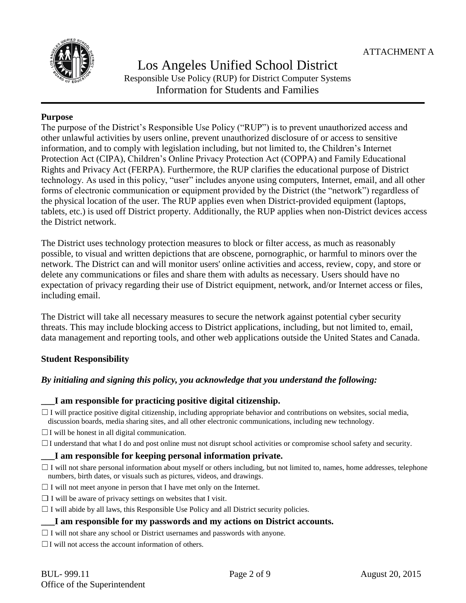

## Los Angeles Unified School District Responsible Use Policy (RUP) for District Computer Systems Information for Students and Families

## **Purpose**

The purpose of the District's Responsible Use Policy ("RUP") is to prevent unauthorized access and other unlawful activities by users online, prevent unauthorized disclosure of or access to sensitive information, and to comply with legislation including, but not limited to, the Children's Internet Protection Act (CIPA), Children's Online Privacy Protection Act (COPPA) and Family Educational Rights and Privacy Act (FERPA). Furthermore, the RUP clarifies the educational purpose of District technology. As used in this policy, "user" includes anyone using computers, Internet, email, and all other forms of electronic communication or equipment provided by the District (the "network") regardless of the physical location of the user. The RUP applies even when District-provided equipment (laptops, tablets, etc.) is used off District property. Additionally, the RUP applies when non-District devices access the District network.

The District uses technology protection measures to block or filter access, as much as reasonably possible, to visual and written depictions that are obscene, pornographic, or harmful to minors over the network. The District can and will monitor users' online activities and access, review, copy, and store or delete any communications or files and share them with adults as necessary. Users should have no expectation of privacy regarding their use of District equipment, network, and/or Internet access or files, including email.

The District will take all necessary measures to secure the network against potential cyber security threats. This may include blocking access to District applications, including, but not limited to, email, data management and reporting tools, and other web applications outside the United States and Canada.

## **Student Responsibility**

## *By initialing and signing this policy, you acknowledge that you understand the following:*

## **\_\_\_I am responsible for practicing positive digital citizenship.**

 $\Box$  I will practice positive digital citizenship, including appropriate behavior and contributions on websites, social media, discussion boards, media sharing sites, and all other electronic communications, including new technology.

 $\Box$  I will be honest in all digital communication.

 $\Box$  I understand that what I do and post online must not disrupt school activities or compromise school safety and security.

## **\_\_\_I am responsible for keeping personal information private.**

 $\Box$  I will not share personal information about myself or others including, but not limited to, names, home addresses, telephone numbers, birth dates, or visuals such as pictures, videos, and drawings.

 $\Box$  I will not meet anyone in person that I have met only on the Internet.

 $\Box$  I will be aware of privacy settings on websites that I visit.

 $\Box$  I will abide by all laws, this Responsible Use Policy and all District security policies.

## **\_\_\_I am responsible for my passwords and my actions on District accounts.**

 $\Box$  I will not share any school or District usernames and passwords with anyone.

 $\Box$  I will not access the account information of others.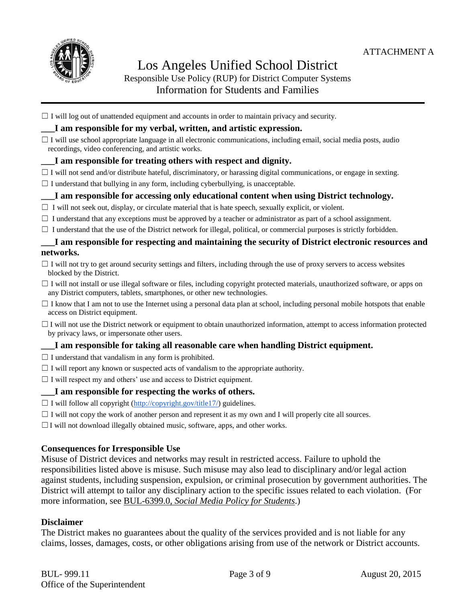

# Los Angeles Unified School District Responsible Use Policy (RUP) for District Computer Systems

## Information for Students and Families

 $\Box$  I will log out of unattended equipment and accounts in order to maintain privacy and security.

## **\_\_\_I am responsible for my verbal, written, and artistic expression.**

 $\Box$  I will use school appropriate language in all electronic communications, including email, social media posts, audio recordings, video conferencing, and artistic works.

#### **\_\_\_I am responsible for treating others with respect and dignity.**

- $\Box$  I will not send and/or distribute hateful, discriminatory, or harassing digital communications, or engage in sexting.
- $\Box$  I understand that bullying in any form, including cyberbullying, is unacceptable.

## **\_\_\_I am responsible for accessing only educational content when using District technology.**

- $\Box$  I will not seek out, display, or circulate material that is hate speech, sexually explicit, or violent.
- $\Box$  I understand that any exceptions must be approved by a teacher or administrator as part of a school assignment.
- $\Box$  I understand that the use of the District network for illegal, political, or commercial purposes is strictly forbidden.

## **\_\_\_I am responsible for respecting and maintaining the security of District electronic resources and networks.**

- $\Box$  I will not try to get around security settings and filters, including through the use of proxy servers to access websites blocked by the District.
- $\Box$  I will not install or use illegal software or files, including copyright protected materials, unauthorized software, or apps on any District computers, tablets, smartphones, or other new technologies.
- $\Box$  I know that I am not to use the Internet using a personal data plan at school, including personal mobile hotspots that enable access on District equipment.
- $\Box$  I will not use the District network or equipment to obtain unauthorized information, attempt to access information protected by privacy laws, or impersonate other users.

## **\_\_\_I am responsible for taking all reasonable care when handling District equipment.**

- $\Box$  I understand that vandalism in any form is prohibited.
- $\Box$  I will report any known or suspected acts of vandalism to the appropriate authority.
- $\Box$  I will respect my and others' use and access to District equipment.

#### **\_\_\_I am responsible for respecting the works of others.**

- $\Box$  I will follow all copyright [\(http://copyright.gov/title17/\)](http://copyright.gov/title17/) guidelines.
- $\Box$  I will not copy the work of another person and represent it as my own and I will properly cite all sources.
- $\Box$  I will not download illegally obtained music, software, apps, and other works.

## **Consequences for Irresponsible Use**

Misuse of District devices and networks may result in restricted access. Failure to uphold the responsibilities listed above is misuse. Such misuse may also lead to disciplinary and/or legal action against students, including suspension, expulsion, or criminal prosecution by government authorities. The District will attempt to tailor any disciplinary action to the specific issues related to each violation. (For more information, see BUL-6399.0, *Social Media Policy for Students*.)

#### **Disclaimer**

The District makes no guarantees about the quality of the services provided and is not liable for any claims, losses, damages, costs, or other obligations arising from use of the network or District accounts.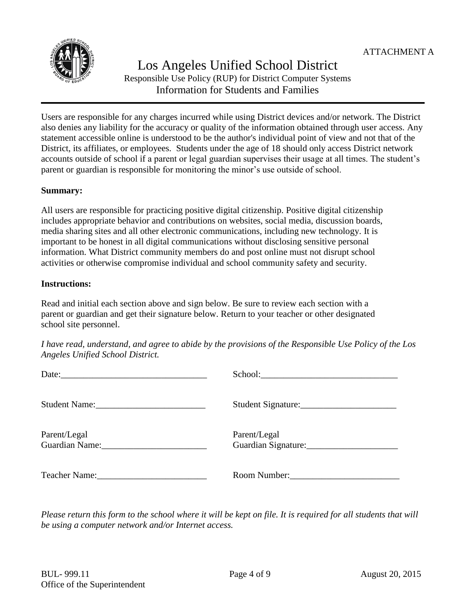

## Los Angeles Unified School District Responsible Use Policy (RUP) for District Computer Systems Information for Students and Families

Users are responsible for any charges incurred while using District devices and/or network. The District also denies any liability for the accuracy or quality of the information obtained through user access. Any statement accessible online is understood to be the author's individual point of view and not that of the District, its affiliates, or employees. Students under the age of 18 should only access District network accounts outside of school if a parent or legal guardian supervises their usage at all times. The student's parent or guardian is responsible for monitoring the minor's use outside of school.

## **Summary:**

All users are responsible for practicing positive digital citizenship. Positive digital citizenship includes appropriate behavior and contributions on websites, social media, discussion boards, media sharing sites and all other electronic communications, including new technology. It is important to be honest in all digital communications without disclosing sensitive personal information. What District community members do and post online must not disrupt school activities or otherwise compromise individual and school community safety and security.

## **Instructions:**

Read and initial each section above and sign below. Be sure to review each section with a parent or guardian and get their signature below. Return to your teacher or other designated school site personnel.

*I have read, understand, and agree to abide by the provisions of the Responsible Use Policy of the Los Angeles Unified School District.*

| Student Name:                                                                                                                                                                                                                 | Student Signature:                  |
|-------------------------------------------------------------------------------------------------------------------------------------------------------------------------------------------------------------------------------|-------------------------------------|
| Parent/Legal<br>Guardian Name:                                                                                                                                                                                                | Parent/Legal<br>Guardian Signature: |
| Teacher Name: The Solution of The Solution of The Solution of The Solution of The Solution of The Solution of The Solution of The Solution of The Solution of The Solution of The Solution of The Solution of The Solution of | Room Number:                        |

*Please return this form to the school where it will be kept on file. It is required for all students that will be using a computer network and/or Internet access.*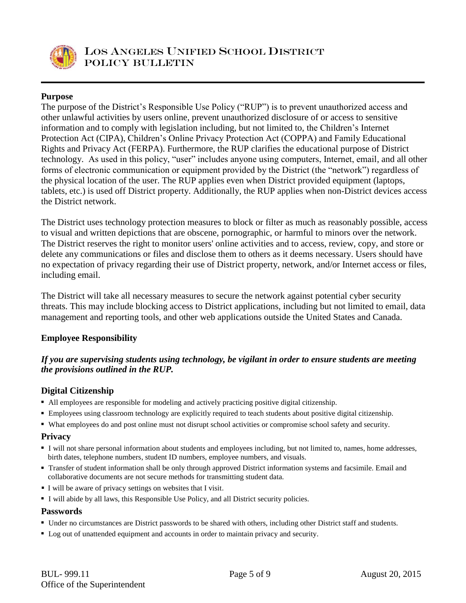

## **Purpose**

The purpose of the District's Responsible Use Policy ("RUP") is to prevent unauthorized access and other unlawful activities by users online, prevent unauthorized disclosure of or access to sensitive information and to comply with legislation including, but not limited to, the Children's Internet Protection Act (CIPA), Children's Online Privacy Protection Act (COPPA) and Family Educational Rights and Privacy Act (FERPA). Furthermore, the RUP clarifies the educational purpose of District technology. As used in this policy, "user" includes anyone using computers, Internet, email, and all other forms of electronic communication or equipment provided by the District (the "network") regardless of the physical location of the user. The RUP applies even when District provided equipment (laptops, tablets, etc.) is used off District property. Additionally, the RUP applies when non-District devices access the District network.

The District uses technology protection measures to block or filter as much as reasonably possible, access to visual and written depictions that are obscene, pornographic, or harmful to minors over the network. The District reserves the right to monitor users' online activities and to access, review, copy, and store or delete any communications or files and disclose them to others as it deems necessary. Users should have no expectation of privacy regarding their use of District property, network, and/or Internet access or files, including email.

The District will take all necessary measures to secure the network against potential cyber security threats. This may include blocking access to District applications, including but not limited to email, data management and reporting tools, and other web applications outside the United States and Canada.

## **Employee Responsibility**

## *If you are supervising students using technology, be vigilant in order to ensure students are meeting the provisions outlined in the RUP.*

## **Digital Citizenship**

- All employees are responsible for modeling and actively practicing positive digital citizenship.
- Employees using classroom technology are explicitly required to teach students about positive digital citizenship.
- What employees do and post online must not disrupt school activities or compromise school safety and security.

## **Privacy**

- I will not share personal information about students and employees including, but not limited to, names, home addresses, birth dates, telephone numbers, student ID numbers, employee numbers, and visuals.
- Transfer of student information shall be only through approved District information systems and facsimile. Email and collaborative documents are not secure methods for transmitting student data.
- I will be aware of privacy settings on websites that I visit.
- I will abide by all laws, this Responsible Use Policy, and all District security policies.

#### **Passwords**

- Under no circumstances are District passwords to be shared with others, including other District staff and students.
- Log out of unattended equipment and accounts in order to maintain privacy and security.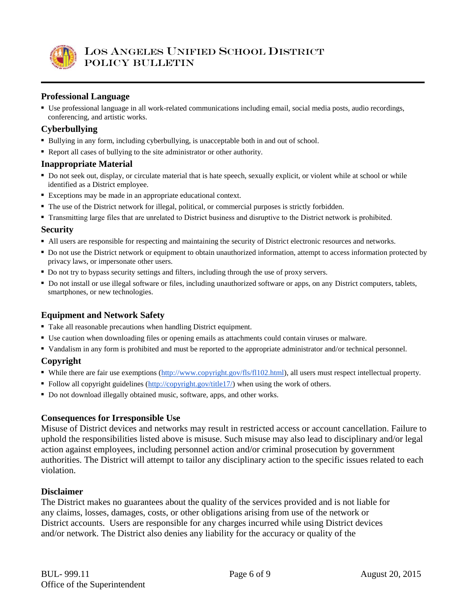

## **Professional Language**

 Use professional language in all work-related communications including email, social media posts, audio recordings, conferencing, and artistic works.

## **Cyberbullying**

- Bullying in any form, including cyberbullying, is unacceptable both in and out of school.
- Report all cases of bullying to the site administrator or other authority.

#### **Inappropriate Material**

- Do not seek out, display, or circulate material that is hate speech, sexually explicit, or violent while at school or while identified as a District employee.
- Exceptions may be made in an appropriate educational context.
- The use of the District network for illegal, political, or commercial purposes is strictly forbidden.
- Transmitting large files that are unrelated to District business and disruptive to the District network is prohibited.

#### **Security**

- All users are responsible for respecting and maintaining the security of District electronic resources and networks.
- Do not use the District network or equipment to obtain unauthorized information, attempt to access information protected by privacy laws, or impersonate other users.
- Do not try to bypass security settings and filters, including through the use of proxy servers.
- Do not install or use illegal software or files, including unauthorized software or apps, on any District computers, tablets, smartphones, or new technologies.

## **Equipment and Network Safety**

- Take all reasonable precautions when handling District equipment.
- Use caution when downloading files or opening emails as attachments could contain viruses or malware.
- Vandalism in any form is prohibited and must be reported to the appropriate administrator and/or technical personnel.

## **Copyright**

- While there are fair use exemptions [\(http://www.copyright.gov/fls/fl102.html\)](http://www.copyright.gov/fls/fl102.html), all users must respect intellectual property.
- Follow all copyright guidelines [\(http://copyright.gov/title17/\)](http://copyright.gov/title17/) when using the work of others.
- Do not download illegally obtained music, software, apps, and other works.

## **Consequences for Irresponsible Use**

Misuse of District devices and networks may result in restricted access or account cancellation. Failure to uphold the responsibilities listed above is misuse. Such misuse may also lead to disciplinary and/or legal action against employees, including personnel action and/or criminal prosecution by government authorities. The District will attempt to tailor any disciplinary action to the specific issues related to each violation.

## **Disclaimer**

The District makes no guarantees about the quality of the services provided and is not liable for any claims, losses, damages, costs, or other obligations arising from use of the network or District accounts. Users are responsible for any charges incurred while using District devices and/or network. The District also denies any liability for the accuracy or quality of the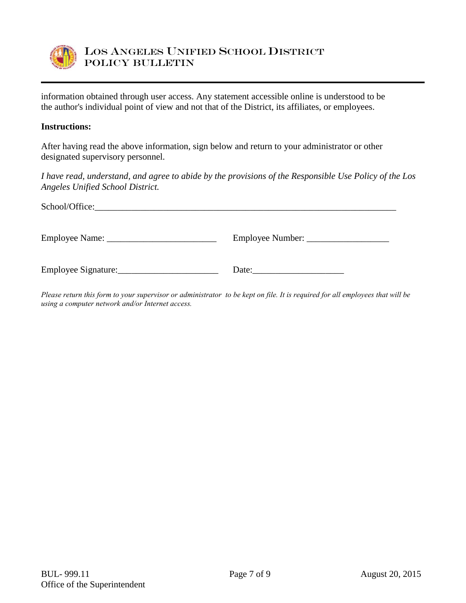

information obtained through user access. Any statement accessible online is understood to be the author's individual point of view and not that of the District, its affiliates, or employees.

#### **Instructions:**

After having read the above information, sign below and return to your administrator or other designated supervisory personnel.

*I have read, understand, and agree to abide by the provisions of the Responsible Use Policy of the Los Angeles Unified School District.*

| School/Office:      |       |  |  |  |
|---------------------|-------|--|--|--|
|                     |       |  |  |  |
| Employee Signature: | Date: |  |  |  |

*Please return this form to your supervisor or administrator to be kept on file. It is required for all employees that will be using a computer network and/or Internet access.*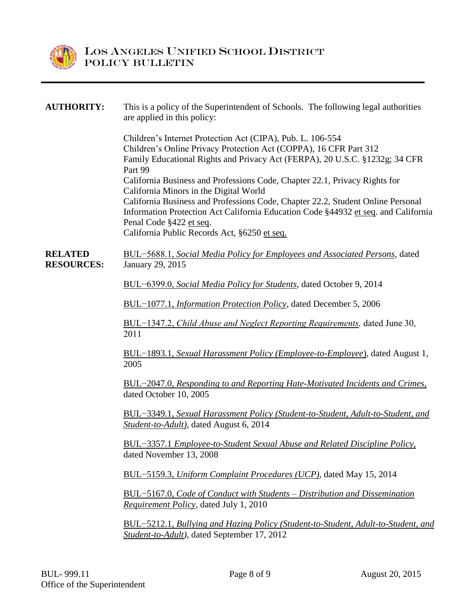

## **AUTHORITY:** This is a policy of the Superintendent of Schools. The following legal authorities are applied in this policy: Children's Internet Protection Act (CIPA), Pub. L. 106-554 Children's Online Privacy Protection Act (COPPA), 16 CFR Part 312 Family Educational Rights and Privacy Act (FERPA), 20 U.S.C. §1232g; 34 CFR Part 99 California Business and Professions Code, Chapter 22.1, Privacy Rights for California Minors in the Digital World California Business and Professions Code, Chapter 22.2, Student Online Personal Information Protection Act California Education Code §44932 et seq. and California Penal Code §422 et seq. California Public Records Act, §6250 et seq. **RELATED RESOURCES:** BUL−5688.1, *Social Media Policy for Employees and Associated Persons*, dated January 29, 2015 BUL−6399.0, *[Social Media Policy for Students](http://notebook.lausd.net/pls/ptl/docs/PAGE/CA_LAUSD/FLDR_ORGANIZATIONS/FLDR_INSTRUCTIONAL_SVCS/BUL%20SOCIAL%20MEDIA%20POLICY%20FOR%20STUDENTS.PDF)*, dated October 9, 2014 BUL−1077.1, *[Information Protection Policy](http://notebook.lausd.net/pls/ptl/url/ITEM/23E49E51DDCDC068E0430A000210C068)*, dated December 5, 2006 BUL−1347.2, *[Child Abuse and Neglect Reporting Requirements,](http://notebook.lausd.net/pls/ptl/url/ITEM/A28A6078F1D76054E0430A0002106054)* dated June 30, 2011 BUL−1893.1, *[Sexual Harassment Policy \(Employee-to-Employee](http://notebook.lausd.net/pls/ptl/url/ITEM/FCEA40A25BD37078E0330A081FB57078)*), dated August 1, 2005 BUL−2047.0, *[Responding to and Reporting Hate-Motivated Incidents and Crimes](http://notebook.lausd.net/pls/ptl/url/ITEM/01C8F754E6E0A0FAE0430A081FB5A0FA)*, dated October 10, 2005 BUL−3349.1, *[Sexual Harassment Policy \(Student-to-Student, Adult-to-Student, and](http://notebook.lausd.net/pls/ptl/docs/PAGE/CA_LAUSD/FLDR_ORGANIZATIONS/FLDR_GENERAL_COUNSEL/.BUL-3349%201%20-%20SEXUAL%20HARASSMENT%20POLICY%2008-06-14.PDF)  [Student-to-Adult\),](http://notebook.lausd.net/pls/ptl/docs/PAGE/CA_LAUSD/FLDR_ORGANIZATIONS/FLDR_GENERAL_COUNSEL/.BUL-3349%201%20-%20SEXUAL%20HARASSMENT%20POLICY%2008-06-14.PDF)* dated August 6, 2014 BUL−3357.1 *[Employee-to-Student Sexual Abuse and Related Discipline Policy](http://notebook.lausd.net/pls/ptl/url/ITEM/5913A7E8F637F03EE0430A000210F03E)*, dated November 13, 2008

BUL−5159.3, *[Uniform Complaint Procedures \(UCP\)](http://notebook.lausd.net/pls/ptl/docs/PAGE/CA_LAUSD/FLDR_ORGANIZATIONS/FLDR_INSTRUCTIONAL_SVCS/INSTRUCTIONALSUPPORTSERVICES/EDUCATIONAL_EQUITY_COMPLIANCE/EEC_UCP_COMPLAINTS/BUL%20-%205159.3%20UNIFORM%20COMPLAINT%20PROCEDURES.PDF)*, dated May 15, 2014

BUL−5167.0, *[Code of Conduct with Students –](http://notebook.lausd.net/pls/ptl/url/ITEM/888A3531730200E8E0430A00021000E8) Distribution and Dissemination [Requirement Policy](http://notebook.lausd.net/pls/ptl/url/ITEM/888A3531730200E8E0430A00021000E8)*, dated July 1, 2010

BUL−5212.1, *[Bullying and Hazing Policy \(Student-to-Student, Adult-to-Student, and](http://notebook.lausd.net/pls/ptl/docs/PAGE/CA_LAUSD/FLDR_ORGANIZATIONS/STUDENT_HEALTH_HUMAN_SERVICES/SHHS/HUMAN_RELATIONS_HOME_PAGE/HUMAN_RELATIONS_BULLYING/BULLYING%20AND%20HAZING%20POLICY%20BUL%205212.1%202012_SEPT%20%2012.PDF)  [Student-to-Adult\)](http://notebook.lausd.net/pls/ptl/docs/PAGE/CA_LAUSD/FLDR_ORGANIZATIONS/STUDENT_HEALTH_HUMAN_SERVICES/SHHS/HUMAN_RELATIONS_HOME_PAGE/HUMAN_RELATIONS_BULLYING/BULLYING%20AND%20HAZING%20POLICY%20BUL%205212.1%202012_SEPT%20%2012.PDF)*, dated September 17, 2012